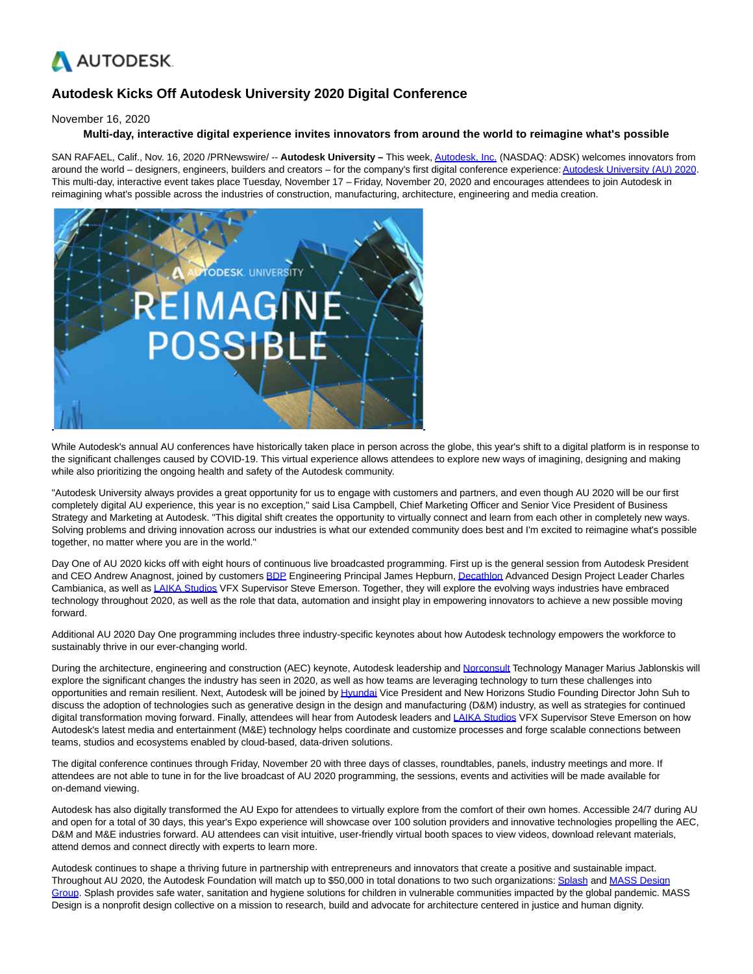

## **Autodesk Kicks Off Autodesk University 2020 Digital Conference**

November 16, 2020

## **Multi-day, interactive digital experience invites innovators from around the world to reimagine what's possible**

SAN RAFAEL, Calif., Nov. 16, 2020 /PRNewswire/ -- **Autodesk University –** This week, [Autodesk, Inc. \(](https://c212.net/c/link/?t=0&l=en&o=2982063-1&h=2498634920&u=https%3A%2F%2Fwww.autodesk.com%2F&a=Autodesk%2C+Inc.)NASDAQ: ADSK) welcomes innovators from around the world – designers, engineers, builders and creators – for the company's first digital conference experience[: Autodesk University \(AU\) 2020.](https://c212.net/c/link/?t=0&l=en&o=2982063-1&h=1374447237&u=https%3A%2F%2Fwww.autodesk.com%2Fautodesk-university%2Fconference%2Foverview&a=Autodesk+University+(AU)+2020) This multi-day, interactive event takes place Tuesday, November 17 – Friday, November 20, 2020 and encourages attendees to join Autodesk in reimagining what's possible across the industries of construction, manufacturing, architecture, engineering and media creation.



While Autodesk's annual AU conferences have historically taken place in person across the globe, this year's shift to a digital platform is in response to the significant challenges caused by COVID-19. This virtual experience allows attendees to explore new ways of imagining, designing and making while also prioritizing the ongoing health and safety of the Autodesk community.

"Autodesk University always provides a great opportunity for us to engage with customers and partners, and even though AU 2020 will be our first completely digital AU experience, this year is no exception," said Lisa Campbell, Chief Marketing Officer and Senior Vice President of Business Strategy and Marketing at Autodesk. "This digital shift creates the opportunity to virtually connect and learn from each other in completely new ways. Solving problems and driving innovation across our industries is what our extended community does best and I'm excited to reimagine what's possible together, no matter where you are in the world."

Day One of AU 2020 kicks off with eight hours of continuous live broadcasted programming. First up is the general session from Autodesk President and CEO Andrew Anagnost, joined by customers [BDP E](https://c212.net/c/link/?t=0&l=en&o=2982063-1&h=4224794572&u=https%3A%2F%2Fwww.bdp.com%2F&a=BDP)ngineering Principal James Hepburn, [Decathlon A](https://c212.net/c/link/?t=0&l=en&o=2982063-1&h=2661409828&u=https%3A%2F%2Fwww.decathlon.com%2F&a=Decathlon)dvanced Design Project Leader Charles Cambianica, as well a[s LAIKA Studios V](https://c212.net/c/link/?t=0&l=en&o=2982063-1&h=3150521087&u=https%3A%2F%2Fwww.laika.com%2F&a=LAIKA+Studios)FX Supervisor Steve Emerson. Together, they will explore the evolving ways industries have embraced technology throughout 2020, as well as the role that data, automation and insight play in empowering innovators to achieve a new possible moving forward.

Additional AU 2020 Day One programming includes three industry-specific keynotes about how Autodesk technology empowers the workforce to sustainably thrive in our ever-changing world.

During the architecture, engineering and construction (AEC) keynote, Autodesk leadership and [Norconsult T](https://c212.net/c/link/?t=0&l=en&o=2982063-1&h=3990403670&u=https%3A%2F%2Fwww.norconsult.com%2F&a=Norconsult)echnology Manager Marius Jablonskis will explore the significant changes the industry has seen in 2020, as well as how teams are leveraging technology to turn these challenges into opportunities and remain resilient. Next, Autodesk will be joined b[y Hyundai V](https://c212.net/c/link/?t=0&l=en&o=2982063-1&h=1887318411&u=https%3A%2F%2Fwww.hyundaimotorgroup.com%2FIndex.hub&a=Hyundai)ice President and New Horizons Studio Founding Director John Suh to discuss the adoption of technologies such as generative design in the design and manufacturing (D&M) industry, as well as strategies for continued digital transformation moving forward. Finally, attendees will hear from Autodesk leaders and [LAIKA Studios V](https://c212.net/c/link/?t=0&l=en&o=2982063-1&h=3150521087&u=https%3A%2F%2Fwww.laika.com%2F&a=LAIKA+Studios)FX Supervisor Steve Emerson on how Autodesk's latest media and entertainment (M&E) technology helps coordinate and customize processes and forge scalable connections between teams, studios and ecosystems enabled by cloud-based, data-driven solutions.

The digital conference continues through Friday, November 20 with three days of classes, roundtables, panels, industry meetings and more. If attendees are not able to tune in for the live broadcast of AU 2020 programming, the sessions, events and activities will be made available for on-demand viewing.

Autodesk has also digitally transformed the AU Expo for attendees to virtually explore from the comfort of their own homes. Accessible 24/7 during AU and open for a total of 30 days, this year's Expo experience will showcase over 100 solution providers and innovative technologies propelling the AEC, D&M and M&E industries forward. AU attendees can visit intuitive, user-friendly virtual booth spaces to view videos, download relevant materials, attend demos and connect directly with experts to learn more.

Autodesk continues to shape a thriving future in partnership with entrepreneurs and innovators that create a positive and sustainable impact. Throughout AU 2020, the Autodesk Foundation will match up to \$50,000 in total donations to two such organizations: [Splash a](https://c212.net/c/link/?t=0&l=en&o=2982063-1&h=178727312&u=https%3A%2F%2Fwww.autodesk.org%2Fwho-we-support%2Fstories%2Fsplash&a=Splash)nd [MASS Design](https://c212.net/c/link/?t=0&l=en&o=2982063-1&h=3015568922&u=https%3A%2F%2Fwww.autodesk.org%2Fwho-we-support%2Fstories%2Fmass-design-group&a=MASS+Design+Group) Group. Splash provides safe water, sanitation and hygiene solutions for children in vulnerable communities impacted by the global pandemic. MASS Design is a nonprofit design collective on a mission to research, build and advocate for architecture centered in justice and human dignity.